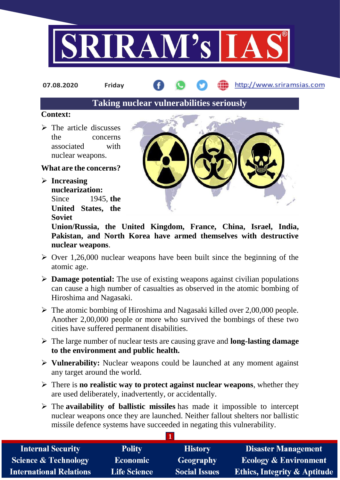

**07.08.2020 Friday**

http://www.sriramsias.com

**Taking nuclear vulnerabilities seriously**

## **Context:**

 $\triangleright$  The article discusses the concerns associated with nuclear weapons.

## **What are the concerns?**

 **Increasing nuclearization:** Since 1945, **the United States, the Soviet** 



**Union/Russia, the United Kingdom, France, China, Israel, India, Pakistan, and North Korea have armed themselves with destructive nuclear weapons**.

- $\geq$  Over 1,26,000 nuclear weapons have been built since the beginning of the atomic age.
- **Damage potential:** The use of existing weapons against civilian populations can cause a high number of casualties as observed in the atomic bombing of Hiroshima and Nagasaki.
- $\triangleright$  The atomic bombing of Hiroshima and Nagasaki killed over 2,00,000 people. Another 2,00,000 people or more who survived the bombings of these two cities have suffered permanent disabilities.
- The large number of nuclear tests are causing grave and **long-lasting damage to the environment and public health.**
- **Vulnerability:** Nuclear weapons could be launched at any moment against any target around the world.
- There is **no realistic way to protect against nuclear weapons**, whether they are used deliberately, inadvertently, or accidentally.
- The **availability of ballistic missiles** has made it impossible to intercept nuclear weapons once they are launched. Neither fallout shelters nor ballistic missile defence systems have succeeded in negating this vulnerability.

| <b>Internal Security</b>        | <b>Polity</b>       | <b>History</b>       | <b>Disaster Management</b>              |
|---------------------------------|---------------------|----------------------|-----------------------------------------|
| <b>Science &amp; Technology</b> | <b>Economic</b>     | Geography            | <b>Ecology &amp; Environment</b>        |
| <b>International Relations</b>  | <b>Life Science</b> | <b>Social Issues</b> | <b>Ethics, Integrity &amp; Aptitude</b> |